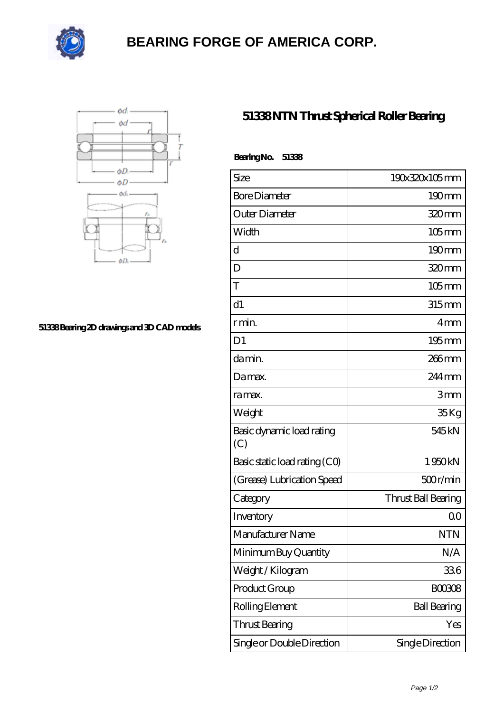

## **[BEARING FORGE OF AMERICA CORP.](https://nskf-bearings.com)**



## **[51338 Bearing 2D drawings and 3D CAD models](https://nskf-bearings.com/pic-1030223.html)**

## **[51338 NTN Thrust Spherical Roller Bearing](https://nskf-bearings.com/thrust-spherical-roller-bearing/51338.html)**

| BearingNo.<br>51338              |                     |
|----------------------------------|---------------------|
| Size                             | 190x320x105mm       |
| <b>Bore Diameter</b>             | $190 \text{mm}$     |
| Outer Diameter                   | 320mm               |
| Width                            | $105$ <sub>mm</sub> |
| $\mathbf d$                      | $190$ mm            |
| D                                | 320mm               |
| T                                | $105$ mm            |
| d1                               | $315$ mm            |
| r min.                           | 4mm                 |
| D <sub>1</sub>                   | $195$ mm            |
| da min.                          | 266 <sub>mm</sub>   |
| Damax.                           | 244 mm              |
| ra max.                          | 3mm                 |
| Weight                           | 35Kg                |
| Basic dynamic load rating<br>(C) | 545 kN              |
| Basic static load rating (CO)    | 1950kN              |
| (Grease) Lubrication Speed       | 500r/min            |
| Category                         | Thrust Ball Bearing |
| Inventory                        | 0 <sup>0</sup>      |
| Manufacturer Name                | <b>NTN</b>          |
| Minimum Buy Quantity             | N/A                 |
| Weight/Kilogram                  | 336                 |
| Product Group                    | <b>BOO3O8</b>       |
| Rolling Element                  | <b>Ball Bearing</b> |
| <b>Thrust Bearing</b>            | Yes                 |
| Single or Double Direction       | Single Direction    |